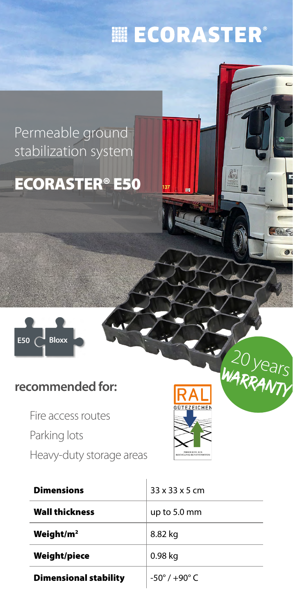# **|| ECORASTER®**

### Permeable ground stabilization system

## ECORASTER® E50



#### **recommended for:**

Fire access routes Parking lots Heavy-duty storage areas



 $20$  years WARRANTY

 $\Theta$ 

 $\mathscr{R}^*$ 

| <b>Dimensions</b>            | $33 \times 33 \times 5$ cm      |
|------------------------------|---------------------------------|
| <b>Wall thickness</b>        | up to $5.0 \text{ mm}$          |
| Weight/ $m2$                 | 8.82 kg                         |
| Weight/piece                 | 0.98 kg                         |
| <b>Dimensional stability</b> | $-50^{\circ}$ / $+90^{\circ}$ C |

 $\overline{1}$